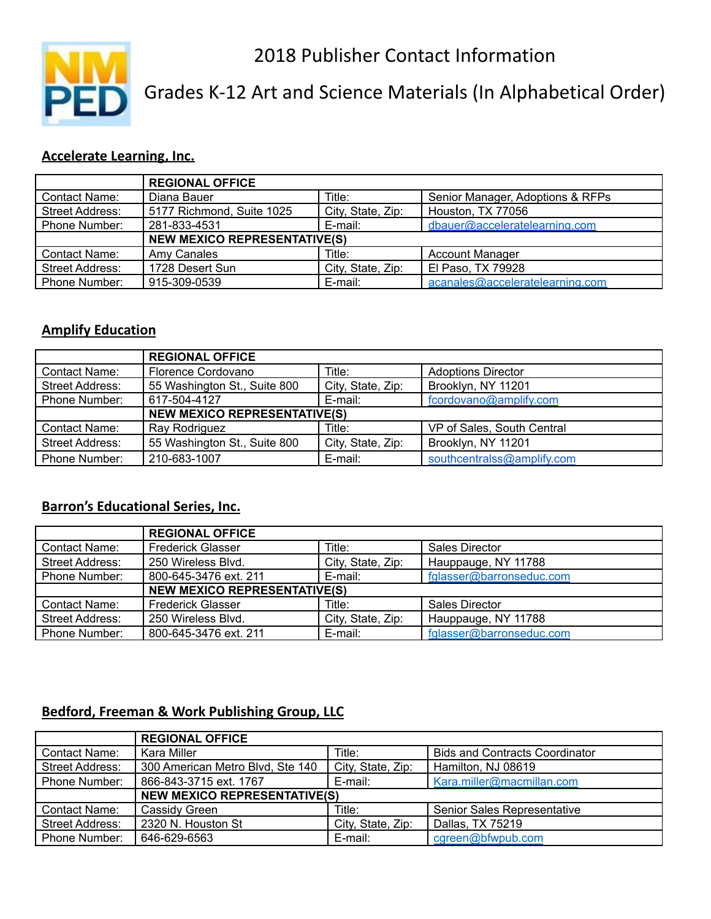2018 Publisher Contact Information



Grades K-12 Art and Science Materials (In Alphabetical Order)

### **Accelerate Learning, Inc.**

|                        | <b>REGIONAL OFFICE</b>              |                   |                                  |
|------------------------|-------------------------------------|-------------------|----------------------------------|
| Contact Name:          | Diana Bauer                         | Title:            | Senior Manager, Adoptions & RFPs |
| <b>Street Address:</b> | 5177 Richmond, Suite 1025           | City, State, Zip: | Houston, TX 77056                |
| Phone Number:          | 281-833-4531                        | E-mail:           | dbauer@acceleratelearning.com    |
|                        | <b>NEW MEXICO REPRESENTATIVE(S)</b> |                   |                                  |
| Contact Name:          | Amy Canales                         | Title:            | <b>Account Manager</b>           |
| <b>Street Address:</b> | 1728 Desert Sun                     | City, State, Zip: | El Paso, TX 79928                |
| Phone Number:          | 915-309-0539                        | E-mail:           | acanales@acceleratelearning.com  |

#### **Amplify Education**

|                        | <b>REGIONAL OFFICE</b>              |                   |                            |  |
|------------------------|-------------------------------------|-------------------|----------------------------|--|
| Contact Name:          | Florence Cordovano                  | Title:            | <b>Adoptions Director</b>  |  |
| <b>Street Address:</b> | 55 Washington St., Suite 800        | City, State, Zip: | Brooklyn, NY 11201         |  |
| <b>Phone Number:</b>   | 617-504-4127                        | E-mail:           | fcordovano@amplify.com     |  |
|                        | <b>NEW MEXICO REPRESENTATIVE(S)</b> |                   |                            |  |
| Contact Name:          | Ray Rodriguez                       | Title:            | VP of Sales, South Central |  |
| <b>Street Address:</b> | 55 Washington St., Suite 800        | City, State, Zip: | Brooklyn, NY 11201         |  |
| <b>Phone Number:</b>   | 210-683-1007                        | E-mail:           | southcentralss@amplify.com |  |

### **Barron's Educational Series, Inc.**

|                        | <b>REGIONAL OFFICE</b>              |                   |                          |
|------------------------|-------------------------------------|-------------------|--------------------------|
| Contact Name:          | <b>Frederick Glasser</b>            | Title:            | <b>Sales Director</b>    |
| <b>Street Address:</b> | 250 Wireless Blvd.                  | City, State, Zip: | Hauppauge, NY 11788      |
| Phone Number:          | 800-645-3476 ext. 211               | E-mail:           | fglasser@barronseduc.com |
|                        | <b>NEW MEXICO REPRESENTATIVE(S)</b> |                   |                          |
| <b>Contact Name:</b>   | <b>Frederick Glasser</b>            | Title:            | <b>Sales Director</b>    |
| <b>Street Address:</b> | 250 Wireless Blvd.                  | City, State, Zip: | Hauppauge, NY 11788      |
| Phone Number:          | 800-645-3476 ext. 211               | E-mail:           | fglasser@barronseduc.com |

### **Bedford, Freeman & Work Publishing Group, LLC**

|                        | <b>REGIONAL OFFICE</b>              |                   |                                       |
|------------------------|-------------------------------------|-------------------|---------------------------------------|
| Contact Name:          | Kara Miller                         | Title:            | <b>Bids and Contracts Coordinator</b> |
| <b>Street Address:</b> | 300 American Metro Blvd, Ste 140    | City, State, Zip: | Hamilton, NJ 08619                    |
| Phone Number:          | 866-843-3715 ext. 1767              | E-mail:           | Kara.miller@macmillan.com             |
|                        | <b>NEW MEXICO REPRESENTATIVE(S)</b> |                   |                                       |
| Contact Name:          | Cassidy Green                       | Title:            | Senior Sales Representative           |
| Street Address:        | 2320 N. Houston St                  | City, State, Zip: | Dallas, TX 75219                      |
| Phone Number:          | 646-629-6563                        | E-mail:           | cgreen@bfwpub.com                     |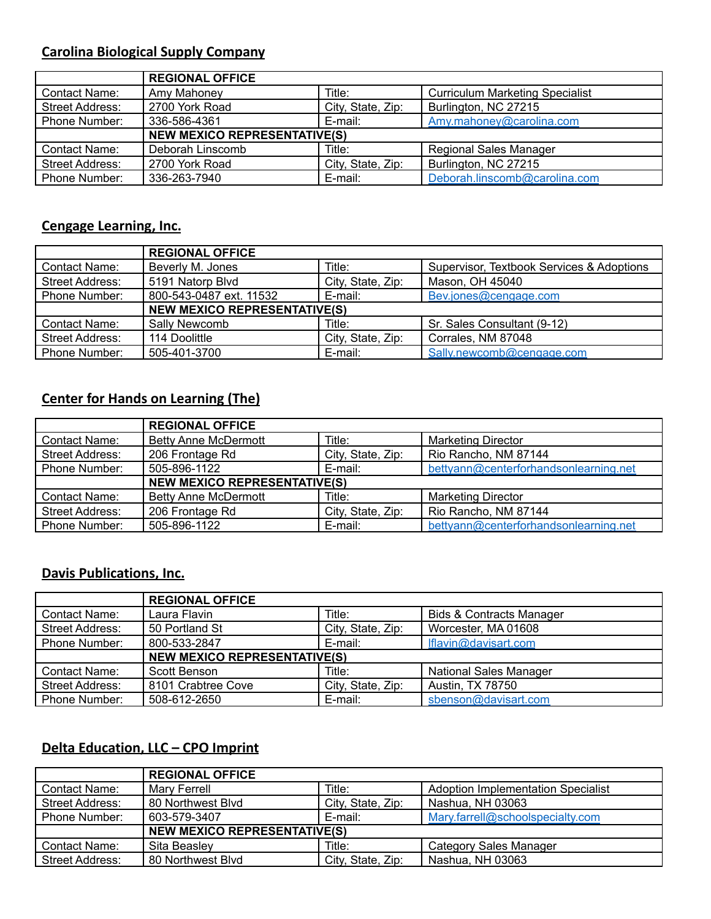# **Carolina Biological Supply Company**

|                        | <b>REGIONAL OFFICE</b>              |                   |                                        |
|------------------------|-------------------------------------|-------------------|----------------------------------------|
| Contact Name:          | Amy Mahoney                         | Title:            | <b>Curriculum Marketing Specialist</b> |
| <b>Street Address:</b> | 2700 York Road                      | City, State, Zip: | Burlington, NC 27215                   |
| <b>Phone Number:</b>   | 336-586-4361                        | E-mail:           | Amy.mahoney@carolina.com               |
|                        | <b>NEW MEXICO REPRESENTATIVE(S)</b> |                   |                                        |
| <b>Contact Name:</b>   | Deborah Linscomb                    | Title:            | <b>Regional Sales Manager</b>          |
| <b>Street Address:</b> | 2700 York Road                      | City, State, Zip: | Burlington, NC 27215                   |
| <b>Phone Number:</b>   | 336-263-7940                        | E-mail:           | Deborah.linscomb@carolina.com          |

### **Cengage Learning, Inc.**

|                      | <b>REGIONAL OFFICE</b>              |                   |                                           |
|----------------------|-------------------------------------|-------------------|-------------------------------------------|
| Contact Name:        | Beverly M. Jones                    | Title:            | Supervisor, Textbook Services & Adoptions |
| Street Address:      | 5191 Natorp Blvd                    | City, State, Zip: | Mason, OH 45040                           |
| Phone Number:        | 800-543-0487 ext. 11532             | E-mail:           | Bev.jones@cengage.com                     |
|                      | <b>NEW MEXICO REPRESENTATIVE(S)</b> |                   |                                           |
| <b>Contact Name:</b> | Sally Newcomb                       | Title:            | Sr. Sales Consultant (9-12)               |
| Street Address:      | 114 Doolittle                       | City, State, Zip: | Corrales, NM 87048                        |
| Phone Number:        | 505-401-3700                        | E-mail:           | Sally.newcomb@cengage.com                 |

### **Center for Hands on Learning (The)**

|                        | <b>REGIONAL OFFICE</b>              |                   |                                       |
|------------------------|-------------------------------------|-------------------|---------------------------------------|
| Contact Name:          | <b>Betty Anne McDermott</b>         | Title:            | <b>Marketing Director</b>             |
| <b>Street Address:</b> | 206 Frontage Rd                     | City, State, Zip: | Rio Rancho, NM 87144                  |
| Phone Number:          | 505-896-1122                        | E-mail:           | bettyann@centerforhandsonlearning.net |
|                        | <b>NEW MEXICO REPRESENTATIVE(S)</b> |                   |                                       |
| <b>Contact Name:</b>   | <b>Betty Anne McDermott</b>         | Title:            | <b>Marketing Director</b>             |
| <b>Street Address:</b> | 206 Frontage Rd                     | City, State, Zip: | Rio Rancho, NM 87144                  |
| Phone Number:          | 505-896-1122                        | E-mail:           | bettyann@centerforhandsonlearning.net |

#### **Davis Publications, Inc.**

|                      | <b>REGIONAL OFFICE</b>              |                   |                                     |
|----------------------|-------------------------------------|-------------------|-------------------------------------|
| Contact Name:        | Laura Flavin                        | Title:            | <b>Bids &amp; Contracts Manager</b> |
| Street Address:      | 50 Portland St                      | City, State, Zip: | Worcester, MA 01608                 |
| Phone Number:        | 800-533-2847                        | E-mail:           | Iflavin@davisart.com                |
|                      | <b>NEW MEXICO REPRESENTATIVE(S)</b> |                   |                                     |
| <b>Contact Name:</b> | Scott Benson                        | Title:            | <b>National Sales Manager</b>       |
| Street Address:      | 8101 Crabtree Cove                  | City, State, Zip: | Austin, TX 78750                    |
| <b>Phone Number:</b> | 508-612-2650                        | E-mail:           | sbenson@davisart.com                |

### **Delta Education, LLC – CPO Imprint**

|                        | <b>REGIONAL OFFICE</b>              |                   |                                           |
|------------------------|-------------------------------------|-------------------|-------------------------------------------|
| <b>Contact Name:</b>   | Marv Ferrell                        | Title:            | <b>Adoption Implementation Specialist</b> |
| <b>Street Address:</b> | 80 Northwest Blvd                   | City, State, Zip: | Nashua, NH 03063                          |
| Phone Number:          | 603-579-3407                        | E-mail:           | Mary.farrell@schoolspecialty.com          |
|                        | <b>NEW MEXICO REPRESENTATIVE(S)</b> |                   |                                           |
| <b>Contact Name:</b>   | Sita Beasley                        | Title:            | <b>Category Sales Manager</b>             |
| <b>Street Address:</b> | 80 Northwest Blvd                   | City, State, Zip: | Nashua, NH 03063                          |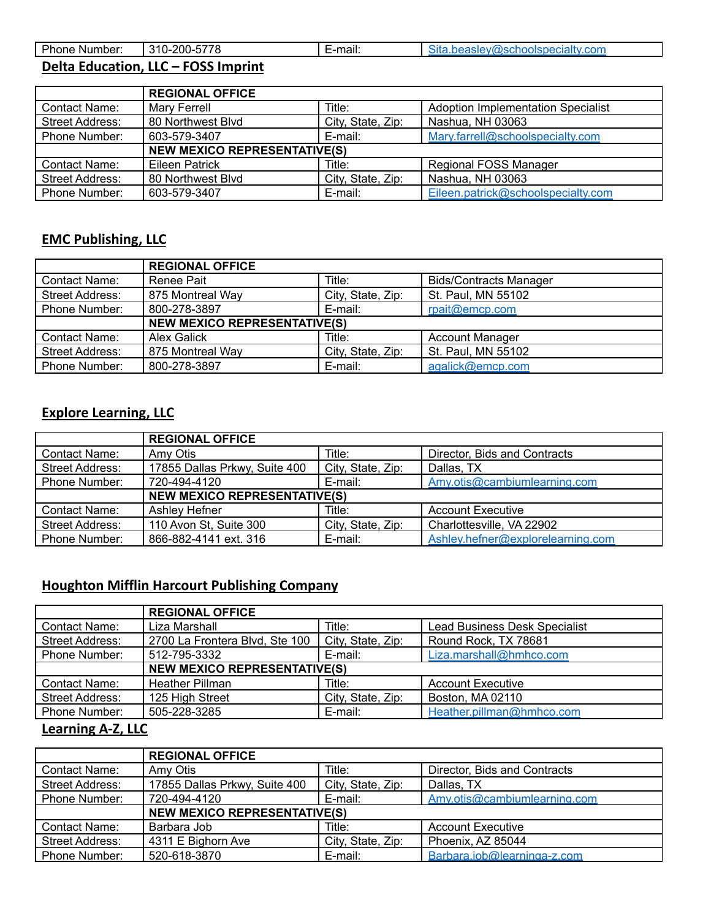| Phone Number: | -5778<br>310-200-८ | -mail: | Sita.beasley@schoolspecialty.com |
|---------------|--------------------|--------|----------------------------------|
|               |                    |        |                                  |

# **Delta Education, LLC – FOSS Imprint**

|                        | <b>REGIONAL OFFICE</b>              |                   |                                    |
|------------------------|-------------------------------------|-------------------|------------------------------------|
| Contact Name:          | Mary Ferrell                        | Title:            | Adoption Implementation Specialist |
| <b>Street Address:</b> | 80 Northwest Blvd                   | City, State, Zip: | Nashua, NH 03063                   |
| Phone Number:          | 603-579-3407                        | E-mail:           | Mary.farrell@schoolspecialty.com   |
|                        | <b>NEW MEXICO REPRESENTATIVE(S)</b> |                   |                                    |
| Contact Name:          | Eileen Patrick                      | Title:            | Regional FOSS Manager              |
| <b>Street Address:</b> | 80 Northwest Blvd                   | City, State, Zip: | Nashua, NH 03063                   |
| Phone Number:          | 603-579-3407                        | E-mail:           | Eileen.patrick@schoolspecialty.com |

# **EMC Publishing, LLC**

I

|                        | <b>REGIONAL OFFICE</b>              |                   |                               |
|------------------------|-------------------------------------|-------------------|-------------------------------|
| Contact Name:          | Renee Pait                          | Title:            | <b>Bids/Contracts Manager</b> |
| <b>Street Address:</b> | 875 Montreal Way                    | City, State, Zip: | St. Paul, MN 55102            |
| Phone Number:          | 800-278-3897                        | E-mail:           | rpait@emcp.com                |
|                        | <b>NEW MEXICO REPRESENTATIVE(S)</b> |                   |                               |
| <b>Contact Name:</b>   | <b>Alex Galick</b>                  | Title:            | <b>Account Manager</b>        |
| <b>Street Address:</b> | 875 Montreal Way                    | City, State, Zip: | St. Paul, MN 55102            |
| Phone Number:          | 800-278-3897                        | E-mail:           | agalick@emcp.com              |

# **Explore Learning, LLC**

|                        | <b>REGIONAL OFFICE</b>              |                   |                                   |
|------------------------|-------------------------------------|-------------------|-----------------------------------|
| <b>Contact Name:</b>   | Amy Otis                            | Title:            | Director, Bids and Contracts      |
| <b>Street Address:</b> | 17855 Dallas Prkwy, Suite 400       | City, State, Zip: | Dallas, TX                        |
| Phone Number:          | 720-494-4120                        | E-mail:           | Amy.otis@cambiumlearning.com      |
|                        | <b>NEW MEXICO REPRESENTATIVE(S)</b> |                   |                                   |
| Contact Name:          | Ashley Hefner                       | Title:            | <b>Account Executive</b>          |
| <b>Street Address:</b> | 110 Avon St, Suite 300              | City, State, Zip: | Charlottesville, VA 22902         |
| Phone Number:          | 866-882-4141 ext. 316               | E-mail:           | Ashley.hefner@explorelearning.com |

# **Houghton Mifflin Harcourt Publishing Company**

|                        | <b>REGIONAL OFFICE</b>              |                   |                                      |
|------------------------|-------------------------------------|-------------------|--------------------------------------|
| Contact Name:          | Liza Marshall                       | Title:            | <b>Lead Business Desk Specialist</b> |
| <b>Street Address:</b> | 2700 La Frontera Blvd, Ste 100      | City, State, Zip: | Round Rock, TX 78681                 |
| Phone Number:          | 512-795-3332                        | E-mail:           | Liza.marshall@hmhco.com              |
|                        | <b>NEW MEXICO REPRESENTATIVE(S)</b> |                   |                                      |
| Contact Name:          | <b>Heather Pillman</b>              | Title:            | <b>Account Executive</b>             |
| <b>Street Address:</b> | 125 High Street                     | City, State, Zip: | Boston, MA 02110                     |
| Phone Number:          | 505-228-3285                        | E-mail:           | Heather.pillman@hmhco.com            |

#### **Learning A-Z, LLC**

|                        | <b>REGIONAL OFFICE</b>              |                   |                              |
|------------------------|-------------------------------------|-------------------|------------------------------|
| Contact Name:          | Amy Otis                            | Title:            | Director, Bids and Contracts |
| Street Address:        | 17855 Dallas Prkwy, Suite 400       | City, State, Zip: | Dallas, TX                   |
| Phone Number:          | 720-494-4120                        | E-mail:           | Amv.otis@cambiumlearning.com |
|                        | <b>NEW MEXICO REPRESENTATIVE(S)</b> |                   |                              |
| <b>Contact Name:</b>   | Barbara Job                         | Title:            | <b>Account Executive</b>     |
| <b>Street Address:</b> | 4311 E Bighorn Ave                  | City, State, Zip: | Phoenix, AZ 85044            |
| Phone Number:          | 520-618-3870                        | E-mail:           | Barbara.job@learninga-z.com  |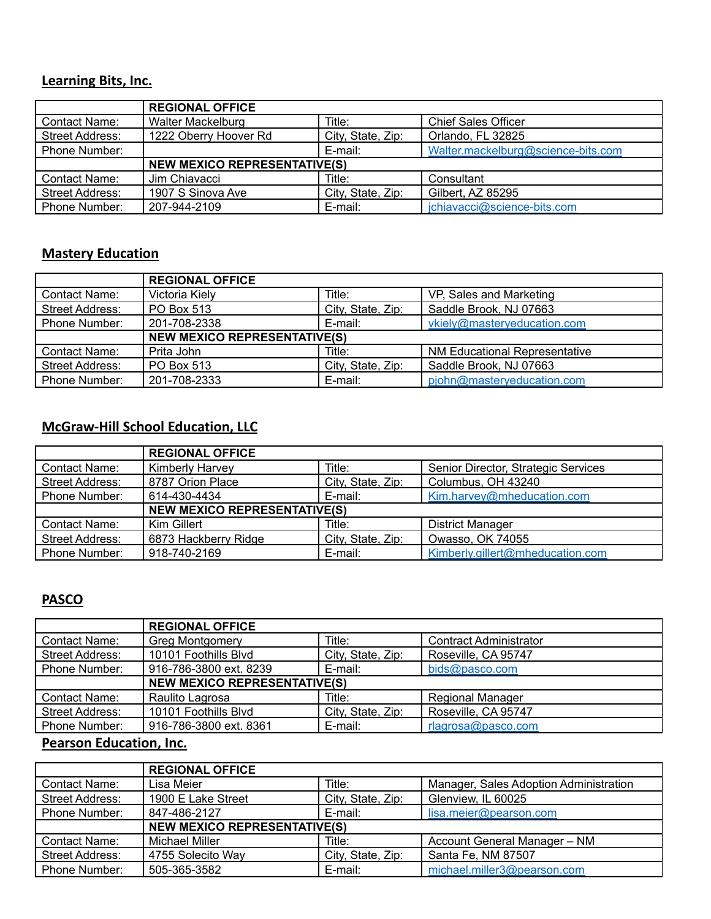### **Learning Bits, Inc.**

|                        | <b>REGIONAL OFFICE</b>              |                   |                                    |
|------------------------|-------------------------------------|-------------------|------------------------------------|
| Contact Name:          | <b>Walter Mackelburg</b>            | Title:            | <b>Chief Sales Officer</b>         |
| <b>Street Address:</b> | 1222 Oberry Hoover Rd               | City, State, Zip: | Orlando, FL 32825                  |
| Phone Number:          |                                     | E-mail:           | Walter.mackelburg@science-bits.com |
|                        | <b>NEW MEXICO REPRESENTATIVE(S)</b> |                   |                                    |
| <b>Contact Name:</b>   | Jim Chiavacci                       | Title:            | Consultant                         |
| Street Address:        | 1907 S Sinova Ave                   | City, State, Zip: | Gilbert, AZ 85295                  |
| <b>Phone Number:</b>   | 207-944-2109                        | E-mail:           | jchiavacci@science-bits.com        |

### **Mastery Education**

|                      | <b>REGIONAL OFFICE</b>              |                   |                                      |
|----------------------|-------------------------------------|-------------------|--------------------------------------|
| Contact Name:        | Victoria Kiely                      | Title:            | VP, Sales and Marketing              |
| Street Address:      | PO Box 513                          | City, State, Zip: | Saddle Brook, NJ 07663               |
| Phone Number:        | 201-708-2338                        | E-mail:           | vkiely@masteryeducation.com          |
|                      | <b>NEW MEXICO REPRESENTATIVE(S)</b> |                   |                                      |
| <b>Contact Name:</b> | Prita John                          | Title:            | <b>NM Educational Representative</b> |
| Street Address:      | PO Box 513                          | City, State, Zip: | Saddle Brook, NJ 07663               |
| Phone Number:        | 201-708-2333                        | E-mail:           | pjohn@masteryeducation.com           |

## **McGraw-Hill School Education, LLC**

|                        | <b>REGIONAL OFFICE</b>              |                   |                                     |
|------------------------|-------------------------------------|-------------------|-------------------------------------|
| Contact Name:          | <b>Kimberly Harvey</b>              | Title:            | Senior Director, Strategic Services |
| <b>Street Address:</b> | 8787 Orion Place                    | City, State, Zip: | Columbus, OH 43240                  |
| Phone Number:          | 614-430-4434                        | E-mail:           | Kim.harvey@mheducation.com          |
|                        | <b>NEW MEXICO REPRESENTATIVE(S)</b> |                   |                                     |
| Contact Name:          | Kim Gillert                         | Title:            | <b>District Manager</b>             |
| <b>Street Address:</b> | 6873 Hackberry Ridge                | City, State, Zip: | Owasso, OK 74055                    |
| Phone Number:          | 918-740-2169                        | E-mail:           | Kimberly.gillert@mheducation.com    |

#### **PASCO**

|                        | <b>REGIONAL OFFICE</b>              |                   |                               |
|------------------------|-------------------------------------|-------------------|-------------------------------|
| Contact Name:          | <b>Greg Montgomery</b>              | Title:            | <b>Contract Administrator</b> |
| <b>Street Address:</b> | 10101 Foothills Blvd                | City, State, Zip: | Roseville, CA 95747           |
| Phone Number:          | 916-786-3800 ext. 8239              | E-mail:           | bids@pasco.com                |
|                        | <b>NEW MEXICO REPRESENTATIVE(S)</b> |                   |                               |
| <b>Contact Name:</b>   | Raulito Lagrosa                     | Title:            | <b>Regional Manager</b>       |
| <b>Street Address:</b> | 10101 Foothills Blvd                | City, State, Zip: | Roseville, CA 95747           |
| Phone Number:          | 916-786-3800 ext. 8361              | E-mail:           | rlagrosa@pasco.com            |

# **Pearson Education, Inc.**

|                        | <b>REGIONAL OFFICE</b>              |                   |                                        |
|------------------------|-------------------------------------|-------------------|----------------------------------------|
| Contact Name:          | Lisa Meier                          | Title:            | Manager, Sales Adoption Administration |
| <b>Street Address:</b> | 1900 E Lake Street                  | City, State, Zip: | Glenview, IL 60025                     |
| Phone Number:          | 847-486-2127                        | E-mail:           | lisa.meier@pearson.com                 |
|                        | <b>NEW MEXICO REPRESENTATIVE(S)</b> |                   |                                        |
| <b>Contact Name:</b>   | Michael Miller                      | Title:            | Account General Manager - NM           |
| Street Address:        | 4755 Solecito Way                   | City, State, Zip: | Santa Fe, NM 87507                     |
| Phone Number:          | 505-365-3582                        | E-mail:           | michael.miller3@pearson.com            |